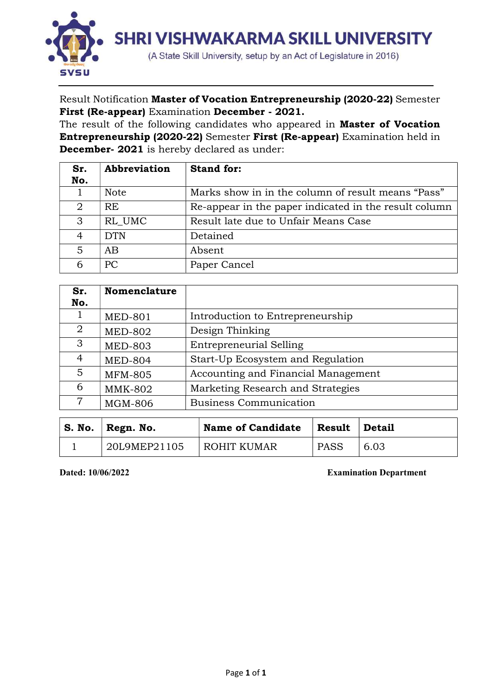

Result Notification Master of Vocation Entrepreneurship (2020-22) Semester First (Re-appear) Examination December - 2021.

The result of the following candidates who appeared in **Master of Vocation** Entrepreneurship (2020-22) Semester First (Re-appear) Examination held in December- 2021 is hereby declared as under:

| Sr.            | Abbreviation | <b>Stand for:</b>                                     |
|----------------|--------------|-------------------------------------------------------|
| No.            |              |                                                       |
|                | <b>Note</b>  | Marks show in in the column of result means "Pass"    |
| $\overline{2}$ | RE           | Re-appear in the paper indicated in the result column |
| 3              | RL UMC       | Result late due to Unfair Means Case                  |
| 4              | <b>DTN</b>   | Detained                                              |
| 5              | AB.          | Absent                                                |
| 6              | PC           | Paper Cancel                                          |

| Sr.            | <b>Nomenclature</b> |                                     |
|----------------|---------------------|-------------------------------------|
| No.            |                     |                                     |
|                | <b>MED-801</b>      | Introduction to Entrepreneurship    |
| $\overline{2}$ | <b>MED-802</b>      | Design Thinking                     |
| 3              | <b>MED-803</b>      | <b>Entrepreneurial Selling</b>      |
| 4              | <b>MED-804</b>      | Start-Up Ecosystem and Regulation   |
| 5.             | <b>MFM-805</b>      | Accounting and Financial Management |
| 6              | MMK-802             | Marketing Research and Strategies   |
|                | <b>MGM-806</b>      | <b>Business Communication</b>       |

| $^{\mathsf{I}}$ S. No. | Regn. No.    | <b>Name of Candidate</b> | <b>Result</b> | ∣Detail |  |  |  |  |
|------------------------|--------------|--------------------------|---------------|---------|--|--|--|--|
|                        | 20L9MEP21105 | <b>ROHIT KUMAR</b>       | PASS          | 6.03    |  |  |  |  |

Dated: 10/06/2022 Examination Department